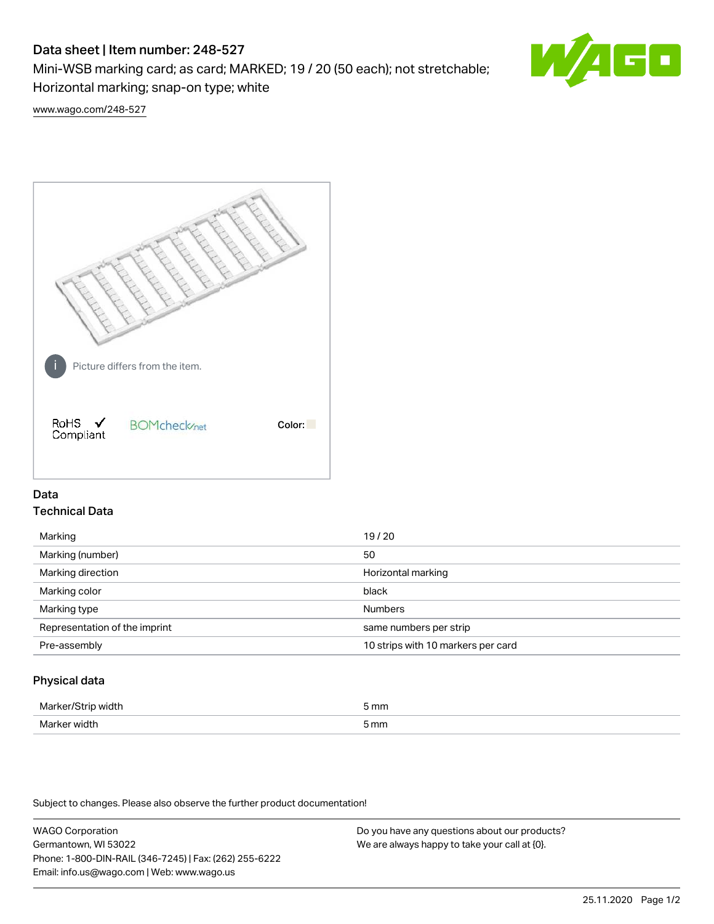# Data sheet | Item number: 248-527

Mini-WSB marking card; as card; MARKED; 19 / 20 (50 each); not stretchable; Horizontal marking; snap-on type; white



[www.wago.com/248-527](http://www.wago.com/248-527)



## Data Technical Data

| Marking                       | 19/20                              |
|-------------------------------|------------------------------------|
| Marking (number)              | 50                                 |
| Marking direction             | Horizontal marking                 |
| Marking color                 | black                              |
| Marking type                  | <b>Numbers</b>                     |
| Representation of the imprint | same numbers per strip             |
| Pre-assembly                  | 10 strips with 10 markers per card |
|                               |                                    |

## Physical data

| Mar                      | 5 mm |
|--------------------------|------|
| M <sub>cr</sub><br>width | 5 mm |

Subject to changes. Please also observe the further product documentation!

WAGO Corporation Germantown, WI 53022 Phone: 1-800-DIN-RAIL (346-7245) | Fax: (262) 255-6222 Email: info.us@wago.com | Web: www.wago.us Do you have any questions about our products? We are always happy to take your call at {0}.